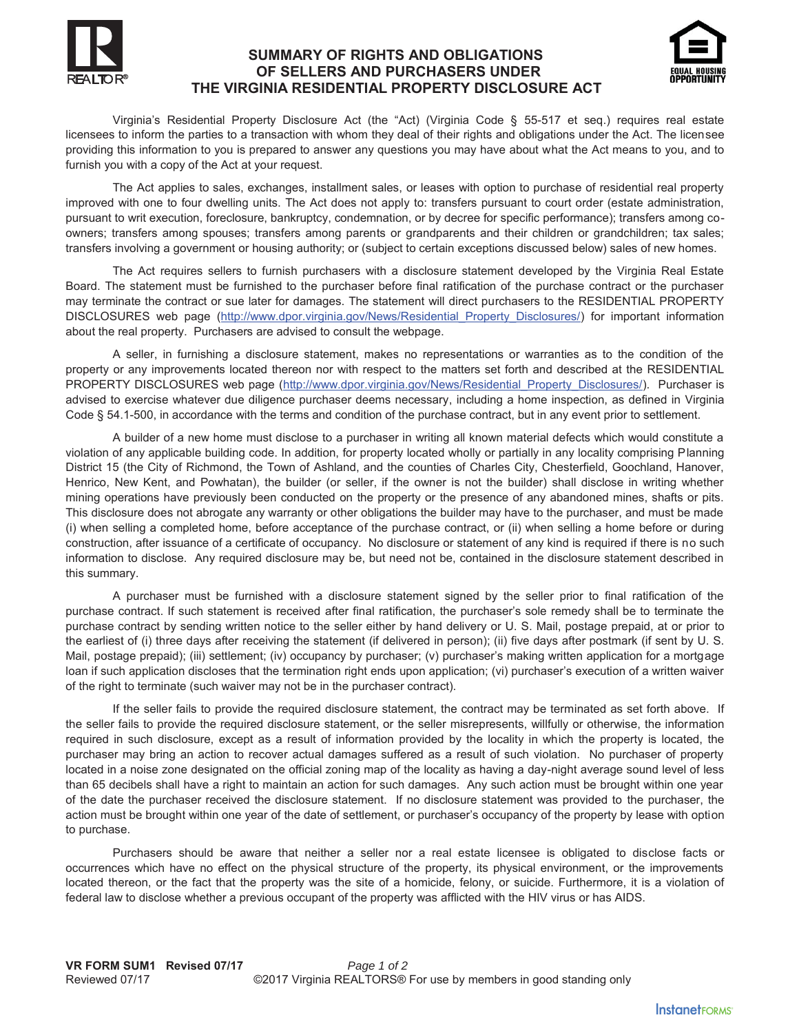## **SUMMARY OF RIGHTS AND OBLIGATIONS OF SELLERS AND PURCHASERS UNDER THE VIRGINIA RESIDENTIAL PROPERTY DISCLOSURE ACT**



Virginia's Residential Property Disclosure Act (the "Act) (Virginia Code § 55-517 et seq.) requires real estate licensees to inform the parties to a transaction with whom they deal of their rights and obligations under the Act. The licensee providing this information to you is prepared to answer any questions you may have about what the Act means to you, and to furnish you with a copy of the Act at your request.

The Act applies to sales, exchanges, installment sales, or leases with option to purchase of residential real property improved with one to four dwelling units. The Act does not apply to: transfers pursuant to court order (estate administration, pursuant to writ execution, foreclosure, bankruptcy, condemnation, or by decree for specific performance); transfers among coowners; transfers among spouses; transfers among parents or grandparents and their children or grandchildren; tax sales; transfers involving a government or housing authority; or (subject to certain exceptions discussed below) sales of new homes.

The Act requires sellers to furnish purchasers with a disclosure statement developed by the Virginia Real Estate Board. The statement must be furnished to the purchaser before final ratification of the purchase contract or the purchaser may terminate the contract or sue later for damages. The statement will direct purchasers to the RESIDENTIAL PROPERTY DISCLOSURES web page (http://www.dpor.virginia.gov/News/Residential Property Disclosures/) for important information about the real property. Purchasers are advised to consult the webpage.

A seller, in furnishing a disclosure statement, makes no representations or warranties as to the condition of the property or any improvements located thereon nor with respect to the matters set forth and described at the RESIDENTIAL PROPERTY DISCLOSURES web page (http://www.dpor.virginia.gov/News/Residential\_Property\_Disclosures/). Purchaser is advised to exercise whatever due diligence purchaser deems necessary, including a home inspection, as defined in Virginia Code § 54.1-500, in accordance with the terms and condition of the purchase contract, but in any event prior to settlement.

A builder of a new home must disclose to a purchaser in writing all known material defects which would constitute a violation of any applicable building code. In addition, for property located wholly or partially in any locality comprising Planning District 15 (the City of Richmond, the Town of Ashland, and the counties of Charles City, Chesterfield, Goochland, Hanover, Henrico, New Kent, and Powhatan), the builder (or seller, if the owner is not the builder) shall disclose in writing whether mining operations have previously been conducted on the property or the presence of any abandoned mines, shafts or pits. This disclosure does not abrogate any warranty or other obligations the builder may have to the purchaser, and must be made (i) when selling a completed home, before acceptance of the purchase contract, or (ii) when selling a home before or during construction, after issuance of a certificate of occupancy. No disclosure or statement of any kind is required if there is no such information to disclose. Any required disclosure may be, but need not be, contained in the disclosure statement described in this summary.

A purchaser must be furnished with a disclosure statement signed by the seller prior to final ratification of the purchase contract. If such statement is received after final ratification, the purchaser's sole remedy shall be to terminate the purchase contract by sending written notice to the seller either by hand delivery or U. S. Mail, postage prepaid, at or prior to the earliest of (i) three days after receiving the statement (if delivered in person); (ii) five days after postmark (if sent by U. S. Mail, postage prepaid); (iii) settlement; (iv) occupancy by purchaser; (v) purchaser's making written application for a mortgage loan if such application discloses that the termination right ends upon application; (vi) purchaser's execution of a written waiver of the right to terminate (such waiver may not be in the purchaser contract).

If the seller fails to provide the required disclosure statement, the contract may be terminated as set forth above. If the seller fails to provide the required disclosure statement, or the seller misrepresents, willfully or otherwise, the information required in such disclosure, except as a result of information provided by the locality in which the property is located, the purchaser may bring an action to recover actual damages suffered as a result of such violation. No purchaser of property located in a noise zone designated on the official zoning map of the locality as having a day-night average sound level of less than 65 decibels shall have a right to maintain an action for such damages. Any such action must be brought within one year of the date the purchaser received the disclosure statement. If no disclosure statement was provided to the purchaser, the action must be brought within one year of the date of settlement, or purchaser's occupancy of the property by lease with option to purchase.

Purchasers should be aware that neither a seller nor a real estate licensee is obligated to disclose facts or occurrences which have no effect on the physical structure of the property, its physical environment, or the improvements located thereon, or the fact that the property was the site of a homicide, felony, or suicide. Furthermore, it is a violation of federal law to disclose whether a previous occupant of the property was afflicted with the HIV virus or has AIDS.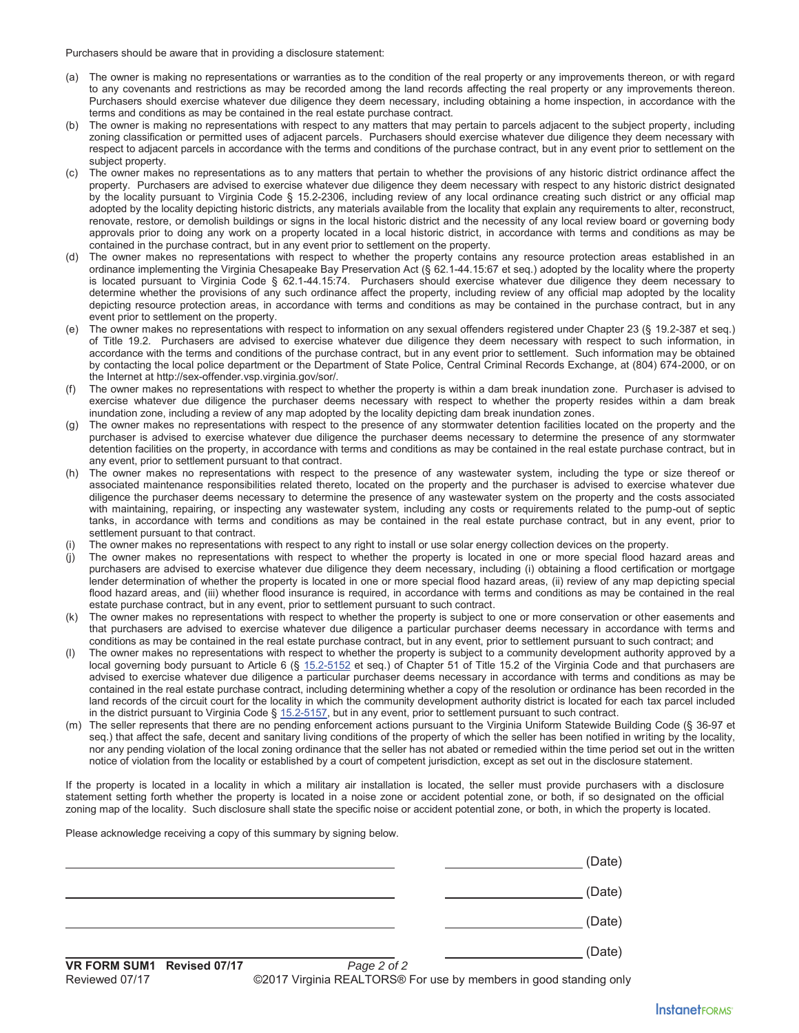Purchasers should be aware that in providing a disclosure statement:

- (a) The owner is making no representations or warranties as to the condition of the real property or any improvements thereon, or with regard to any covenants and restrictions as may be recorded among the land records affecting the real property or any improvements thereon. Purchasers should exercise whatever due diligence they deem necessary, including obtaining a home inspection, in accordance with the terms and conditions as may be contained in the real estate purchase contract.
- (b) The owner is making no representations with respect to any matters that may pertain to parcels adjacent to the subject property, including zoning classification or permitted uses of adjacent parcels. Purchasers should exercise whatever due diligence they deem necessary with respect to adjacent parcels in accordance with the terms and conditions of the purchase contract, but in any event prior to settlement on the subject property.
- (c) The owner makes no representations as to any matters that pertain to whether the provisions of any historic district ordinance affect the property. Purchasers are advised to exercise whatever due diligence they deem necessary with respect to any historic district designated by the locality pursuant to Virginia Code § 15.2-2306, including review of any local ordinance creating such district or any official map adopted by the locality depicting historic districts, any materials available from the locality that explain any requirements to alter, reconstruct, renovate, restore, or demolish buildings or signs in the local historic district and the necessity of any local review board or governing body approvals prior to doing any work on a property located in a local historic district, in accordance with terms and conditions as may be contained in the purchase contract, but in any event prior to settlement on the property.
- (d) The owner makes no representations with respect to whether the property contains any resource protection areas established in an ordinance implementing the Virginia Chesapeake Bay Preservation Act (§ 62.1-44.15:67 et seq.) adopted by the locality where the property is located pursuant to Virginia Code § 62.1-44.15:74. Purchasers should exercise whatever due diligence they deem necessary to determine whether the provisions of any such ordinance affect the property, including review of any official map adopted by the locality depicting resource protection areas, in accordance with terms and conditions as may be contained in the purchase contract, but in any event prior to settlement on the property.
- (e) The owner makes no representations with respect to information on any sexual offenders registered under Chapter 23 (§ 19.2-387 et seq.) of Title 19.2. Purchasers are advised to exercise whatever due diligence they deem necessary with respect to such information, in accordance with the terms and conditions of the purchase contract, but in any event prior to settlement. Such information may be obtained by contacting the local police department or the Department of State Police, Central Criminal Records Exchange, at (804) 674-2000, or on the Internet at http://sex-offender.vsp.virginia.gov/sor/.
- (f) The owner makes no representations with respect to whether the property is within a dam break inundation zone. Purchaser is advised to exercise whatever due diligence the purchaser deems necessary with respect to whether the property resides within a dam break inundation zone, including a review of any map adopted by the locality depicting dam break inundation zones.
- (g) The owner makes no representations with respect to the presence of any stormwater detention facilities located on the property and the purchaser is advised to exercise whatever due diligence the purchaser deems necessary to determine the presence of any stormwater detention facilities on the property, in accordance with terms and conditions as may be contained in the real estate purchase contract, but in any event, prior to settlement pursuant to that contract.
- (h) The owner makes no representations with respect to the presence of any wastewater system, including the type or size thereof or associated maintenance responsibilities related thereto, located on the property and the purchaser is advised to exercise whatever due diligence the purchaser deems necessary to determine the presence of any wastewater system on the property and the costs associated with maintaining, repairing, or inspecting any wastewater system, including any costs or requirements related to the pump-out of septic tanks, in accordance with terms and conditions as may be contained in the real estate purchase contract, but in any event, prior to settlement pursuant to that contract.
- The owner makes no representations with respect to any right to install or use solar energy collection devices on the property.
- The owner makes no representations with respect to whether the property is located in one or more special flood hazard areas and purchasers are advised to exercise whatever due diligence they deem necessary, including (i) obtaining a flood certification or mortgage lender determination of whether the property is located in one or more special flood hazard areas, (ii) review of any map depicting special flood hazard areas, and (iii) whether flood insurance is required, in accordance with terms and conditions as may be contained in the real estate purchase contract, but in any event, prior to settlement pursuant to such contract.
- (k) The owner makes no representations with respect to whether the property is subject to one or more conservation or other easements and that purchasers are advised to exercise whatever due diligence a particular purchaser deems necessary in accordance with terms and conditions as may be contained in the real estate purchase contract, but in any event, prior to settlement pursuant to such contract; and
- The owner makes no representations with respect to whether the property is subject to a community development authority approved by a local governing body pursuant to Article 6 (§ 15.2-5152 et seq.) of Chapter 51 of Title 15.2 of the Virginia Code and that purchasers are advised to exercise whatever due diligence a particular purchaser deems necessary in accordance with terms and conditions as may be contained in the real estate purchase contract, including determining whether a copy of the resolution or ordinance has been recorded in the land records of the circuit court for the locality in which the community development authority district is located for each tax parcel included in the district pursuant to Virginia Code § 15.2-5157, but in any event, prior to settlement pursuant to such contract.
- (m) The seller represents that there are no pending enforcement actions pursuant to the Virginia Uniform Statewide Building Code (§ 36-97 et seq.) that affect the safe, decent and sanitary living conditions of the property of which the seller has been notified in writing by the locality, nor any pending violation of the local zoning ordinance that the seller has not abated or remedied within the time period set out in the written notice of violation from the locality or established by a court of competent jurisdiction, except as set out in the disclosure statement.

If the property is located in a locality in which a military air installation is located, the seller must provide purchasers with a disclosure statement setting forth whether the property is located in a noise zone or accident potential zone, or both, if so designated on the official zoning map of the locality. Such disclosure shall state the specific noise or accident potential zone, or both, in which the property is located.

Please acknowledge receiving a copy of this summary by signing below.

| (Date) |
|--------|
| (Date) |
| (Date) |
| (Date) |